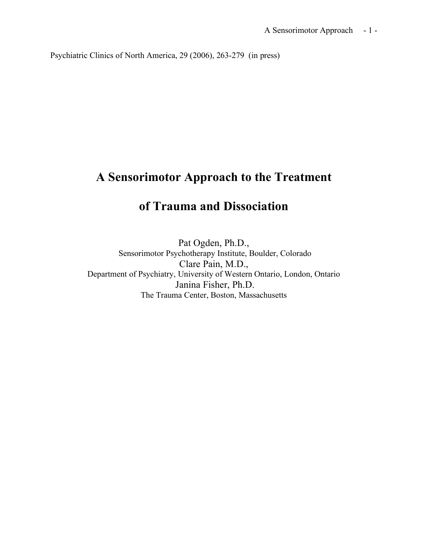Psychiatric Clinics of North America, 29 (2006), 263-279 (in press)

## **A Sensorimotor Approach to the Treatment**

# **of Trauma and Dissociation**

Pat Ogden, Ph.D., Sensorimotor Psychotherapy Institute, Boulder, Colorado Clare Pain, M.D., Department of Psychiatry, University of Western Ontario, London, Ontario Janina Fisher, Ph.D. The Trauma Center, Boston, Massachusetts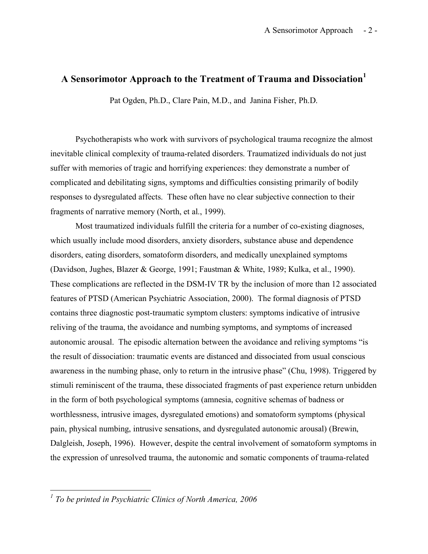### **A Sensorimotor Approach to the Treatment of Trauma and Dissociation<sup>1</sup>**

Pat Ogden, Ph.D., Clare Pain, M.D., and Janina Fisher, Ph.D.

Psychotherapists who work with survivors of psychological trauma recognize the almost inevitable clinical complexity of trauma-related disorders. Traumatized individuals do not just suffer with memories of tragic and horrifying experiences: they demonstrate a number of complicated and debilitating signs, symptoms and difficulties consisting primarily of bodily responses to dysregulated affects. These often have no clear subjective connection to their fragments of narrative memory (North, et al., 1999).

Most traumatized individuals fulfill the criteria for a number of co-existing diagnoses, which usually include mood disorders, anxiety disorders, substance abuse and dependence disorders, eating disorders, somatoform disorders, and medically unexplained symptoms (Davidson, Jughes, Blazer & George, 1991; Faustman & White, 1989; Kulka, et al., 1990). These complications are reflected in the DSM-IV TR by the inclusion of more than 12 associated features of PTSD (American Psychiatric Association, 2000). The formal diagnosis of PTSD contains three diagnostic post-traumatic symptom clusters: symptoms indicative of intrusive reliving of the trauma, the avoidance and numbing symptoms, and symptoms of increased autonomic arousal. The episodic alternation between the avoidance and reliving symptoms "is the result of dissociation: traumatic events are distanced and dissociated from usual conscious awareness in the numbing phase, only to return in the intrusive phase" (Chu, 1998). Triggered by stimuli reminiscent of the trauma, these dissociated fragments of past experience return unbidden in the form of both psychological symptoms (amnesia, cognitive schemas of badness or worthlessness, intrusive images, dysregulated emotions) and somatoform symptoms (physical pain, physical numbing, intrusive sensations, and dysregulated autonomic arousal) (Brewin, Dalgleish, Joseph, 1996). However, despite the central involvement of somatoform symptoms in the expression of unresolved trauma, the autonomic and somatic components of trauma-related

*<sup>1</sup> To be printed in Psychiatric Clinics of North America, <sup>2006</sup>*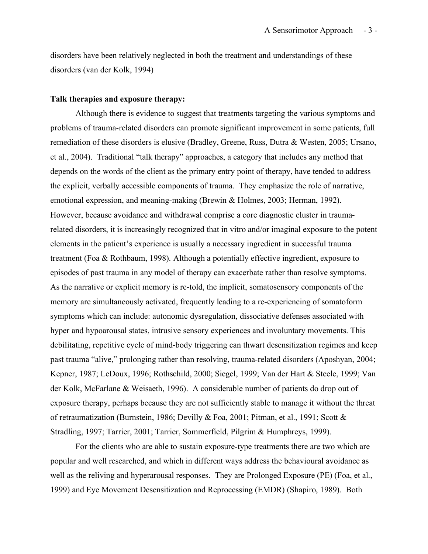disorders have been relatively neglected in both the treatment and understandings of these disorders (van der Kolk, 1994)

#### **Talk therapies and exposure therapy:**

Although there is evidence to suggest that treatments targeting the various symptoms and problems of trauma-related disorders can promote significant improvement in some patients, full remediation of these disorders is elusive (Bradley, Greene, Russ, Dutra & Westen, 2005; Ursano, et al., 2004). Traditional "talk therapy" approaches, a category that includes any method that depends on the words of the client as the primary entry point of therapy, have tended to address the explicit, verbally accessible components of trauma. They emphasize the role of narrative, emotional expression, and meaning-making (Brewin & Holmes, 2003; Herman, 1992). However, because avoidance and withdrawal comprise a core diagnostic cluster in traumarelated disorders, it is increasingly recognized that in vitro and/or imaginal exposure to the potent elements in the patient's experience is usually a necessary ingredient in successful trauma treatment (Foa & Rothbaum, 1998). Although a potentially effective ingredient, exposure to episodes of past trauma in any model of therapy can exacerbate rather than resolve symptoms. As the narrative or explicit memory is re-told, the implicit, somatosensory components of the memory are simultaneously activated, frequently leading to a re-experiencing of somatoform symptoms which can include: autonomic dysregulation, dissociative defenses associated with hyper and hypoarousal states, intrusive sensory experiences and involuntary movements. This debilitating, repetitive cycle of mind-body triggering can thwart desensitization regimes and keep past trauma "alive," prolonging rather than resolving, trauma-related disorders (Aposhyan, 2004; Kepner, 1987; LeDoux, 1996; Rothschild, 2000; Siegel, 1999; Van der Hart & Steele, 1999; Van der Kolk, McFarlane & Weisaeth, 1996). A considerable number of patients do drop out of exposure therapy, perhaps because they are not sufficiently stable to manage it without the threat of retraumatization (Burnstein, 1986; Devilly & Foa, 2001; Pitman, et al., 1991; Scott & Stradling, 1997; Tarrier, 2001; Tarrier, Sommerfield, Pilgrim & Humphreys, 1999).

For the clients who are able to sustain exposure-type treatments there are two which are popular and well researched, and which in different ways address the behavioural avoidance as well as the reliving and hyperarousal responses. They are Prolonged Exposure (PE) (Foa, et al., 1999) and Eye Movement Desensitization and Reprocessing (EMDR) (Shapiro, 1989). Both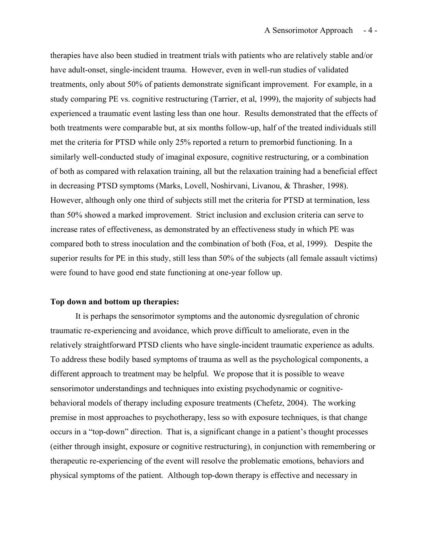therapies have also been studied in treatment trials with patients who are relatively stable and/or have adult-onset, single-incident trauma. However, even in well-run studies of validated treatments, only about 50% of patients demonstrate significant improvement. For example, in a study comparing PE vs. cognitive restructuring (Tarrier, et al, 1999), the majority of subjects had experienced a traumatic event lasting less than one hour. Results demonstrated that the effects of both treatments were comparable but, at six months follow-up, half of the treated individuals still met the criteria for PTSD while only 25% reported a return to premorbid functioning. In a similarly well-conducted study of imaginal exposure, cognitive restructuring, or a combination of both as compared with relaxation training, all but the relaxation training had a beneficial effect in decreasing PTSD symptoms (Marks, Lovell, Noshirvani, Livanou, & Thrasher, 1998). However, although only one third of subjects still met the criteria for PTSD at termination, less than 50% showed a marked improvement. Strict inclusion and exclusion criteria can serve to increase rates of effectiveness, as demonstrated by an effectiveness study in which PE was compared both to stress inoculation and the combination of both (Foa, et al, 1999). Despite the superior results for PE in this study, still less than 50% of the subjects (all female assault victims) were found to have good end state functioning at one-year follow up.

#### **Top down and bottom up therapies:**

It is perhaps the sensorimotor symptoms and the autonomic dysregulation of chronic traumatic re-experiencing and avoidance, which prove difficult to ameliorate, even in the relatively straightforward PTSD clients who have single-incident traumatic experience as adults. To address these bodily based symptoms of trauma as well as the psychological components, a different approach to treatment may be helpful. We propose that it is possible to weave sensorimotor understandings and techniques into existing psychodynamic or cognitivebehavioral models of therapy including exposure treatments (Chefetz, 2004). The working premise in most approaches to psychotherapy, less so with exposure techniques, is that change occurs in a "top-down" direction. That is, a significant change in a patient's thought processes (either through insight, exposure or cognitive restructuring), in conjunction with remembering or therapeutic re-experiencing of the event will resolve the problematic emotions, behaviors and physical symptoms of the patient. Although top-down therapy is effective and necessary in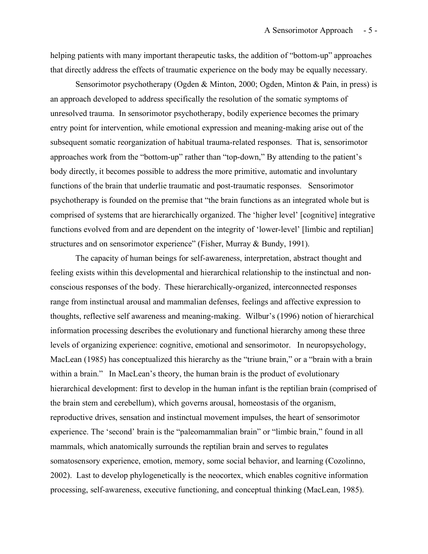helping patients with many important therapeutic tasks, the addition of "bottom-up" approaches that directly address the effects of traumatic experience on the body may be equally necessary.

Sensorimotor psychotherapy (Ogden & Minton, 2000; Ogden, Minton & Pain, in press) is an approach developed to address specifically the resolution of the somatic symptoms of unresolved trauma. In sensorimotor psychotherapy, bodily experience becomes the primary entry point for intervention, while emotional expression and meaning-making arise out of the subsequent somatic reorganization of habitual trauma-related responses. That is, sensorimotor approaches work from the "bottom-up" rather than "top-down," By attending to the patient's body directly, it becomes possible to address the more primitive, automatic and involuntary functions of the brain that underlie traumatic and post-traumatic responses. Sensorimotor psychotherapy is founded on the premise that "the brain functions as an integrated whole but is comprised of systems that are hierarchically organized. The 'higher level' [cognitive] integrative functions evolved from and are dependent on the integrity of 'lower-level' [limbic and reptilian] structures and on sensorimotor experience" (Fisher, Murray & Bundy, 1991).

The capacity of human beings for self-awareness, interpretation, abstract thought and feeling exists within this developmental and hierarchical relationship to the instinctual and nonconscious responses of the body. These hierarchically-organized, interconnected responses range from instinctual arousal and mammalian defenses, feelings and affective expression to thoughts, reflective self awareness and meaning-making. Wilbur's (1996) notion of hierarchical information processing describes the evolutionary and functional hierarchy among these three levels of organizing experience: cognitive, emotional and sensorimotor. In neuropsychology, MacLean (1985) has conceptualized this hierarchy as the "triune brain," or a "brain with a brain within a brain." In MacLean's theory, the human brain is the product of evolutionary hierarchical development: first to develop in the human infant is the reptilian brain (comprised of the brain stem and cerebellum), which governs arousal, homeostasis of the organism, reproductive drives, sensation and instinctual movement impulses, the heart of sensorimotor experience. The 'second' brain is the "paleomammalian brain" or "limbic brain," found in all mammals, which anatomically surrounds the reptilian brain and serves to regulates somatosensory experience, emotion, memory, some social behavior, and learning (Cozolinno, 2002). Last to develop phylogenetically is the neocortex, which enables cognitive information processing, self-awareness, executive functioning, and conceptual thinking (MacLean, 1985).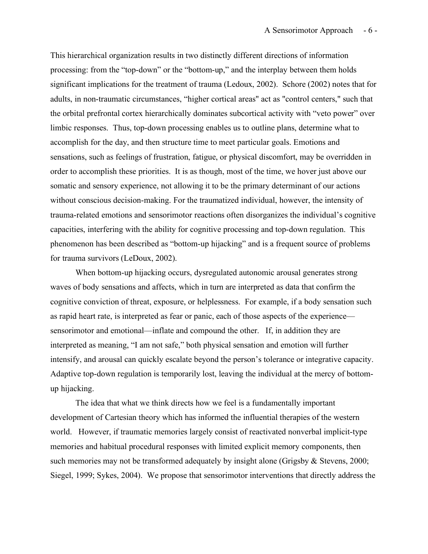This hierarchical organization results in two distinctly different directions of information processing: from the "top-down" or the "bottom-up," and the interplay between them holds significant implications for the treatment of trauma (Ledoux, 2002). Schore (2002) notes that for adults, in non-traumatic circumstances, "higher cortical areas" act as "control centers," such that the orbital prefrontal cortex hierarchically dominates subcortical activity with "veto power" over limbic responses. Thus, top-down processing enables us to outline plans, determine what to accomplish for the day, and then structure time to meet particular goals. Emotions and sensations, such as feelings of frustration, fatigue, or physical discomfort, may be overridden in order to accomplish these priorities. It is as though, most of the time, we hover just above our somatic and sensory experience, not allowing it to be the primary determinant of our actions without conscious decision-making. For the traumatized individual, however, the intensity of trauma-related emotions and sensorimotor reactions often disorganizes the individual's cognitive capacities, interfering with the ability for cognitive processing and top-down regulation. This phenomenon has been described as "bottom-up hijacking" and is a frequent source of problems for trauma survivors (LeDoux, 2002).

When bottom-up hijacking occurs, dysregulated autonomic arousal generates strong waves of body sensations and affects, which in turn are interpreted as data that confirm the cognitive conviction of threat, exposure, or helplessness. For example, if a body sensation such as rapid heart rate, is interpreted as fear or panic, each of those aspects of the experience sensorimotor and emotional—inflate and compound the other. If, in addition they are interpreted as meaning, "I am not safe," both physical sensation and emotion will further intensify, and arousal can quickly escalate beyond the person's tolerance or integrative capacity. Adaptive top-down regulation is temporarily lost, leaving the individual at the mercy of bottomup hijacking.

The idea that what we think directs how we feel is a fundamentally important development of Cartesian theory which has informed the influential therapies of the western world. However, if traumatic memories largely consist of reactivated nonverbal implicit-type memories and habitual procedural responses with limited explicit memory components, then such memories may not be transformed adequately by insight alone (Grigsby & Stevens, 2000; Siegel, 1999; Sykes, 2004). We propose that sensorimotor interventions that directly address the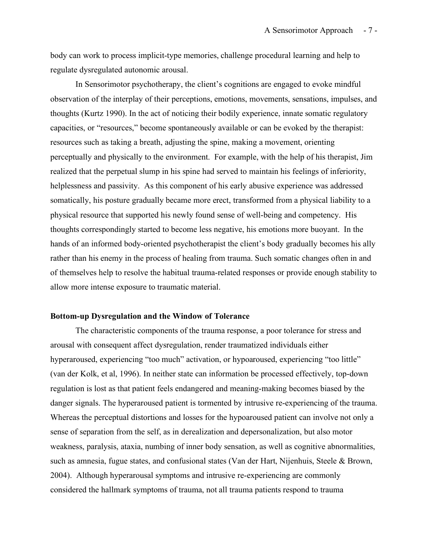body can work to process implicit-type memories, challenge procedural learning and help to regulate dysregulated autonomic arousal.

In Sensorimotor psychotherapy, the client's cognitions are engaged to evoke mindful observation of the interplay of their perceptions, emotions, movements, sensations, impulses, and thoughts (Kurtz 1990). In the act of noticing their bodily experience, innate somatic regulatory capacities, or "resources," become spontaneously available or can be evoked by the therapist: resources such as taking a breath, adjusting the spine, making a movement, orienting perceptually and physically to the environment. For example, with the help of his therapist, Jim realized that the perpetual slump in his spine had served to maintain his feelings of inferiority, helplessness and passivity. As this component of his early abusive experience was addressed somatically, his posture gradually became more erect, transformed from a physical liability to a physical resource that supported his newly found sense of well-being and competency. His thoughts correspondingly started to become less negative, his emotions more buoyant. In the hands of an informed body-oriented psychotherapist the client's body gradually becomes his ally rather than his enemy in the process of healing from trauma. Such somatic changes often in and of themselves help to resolve the habitual trauma-related responses or provide enough stability to allow more intense exposure to traumatic material.

#### **Bottom-up Dysregulation and the Window of Tolerance**

The characteristic components of the trauma response, a poor tolerance for stress and arousal with consequent affect dysregulation, render traumatized individuals either hyperaroused, experiencing "too much" activation, or hypoaroused, experiencing "too little" (van der Kolk, et al, 1996). In neither state can information be processed effectively, top-down regulation is lost as that patient feels endangered and meaning-making becomes biased by the danger signals. The hyperaroused patient is tormented by intrusive re-experiencing of the trauma. Whereas the perceptual distortions and losses for the hypoaroused patient can involve not only a sense of separation from the self, as in derealization and depersonalization, but also motor weakness, paralysis, ataxia, numbing of inner body sensation, as well as cognitive abnormalities, such as amnesia, fugue states, and confusional states (Van der Hart, Nijenhuis, Steele & Brown, 2004). Although hyperarousal symptoms and intrusive re-experiencing are commonly considered the hallmark symptoms of trauma, not all trauma patients respond to trauma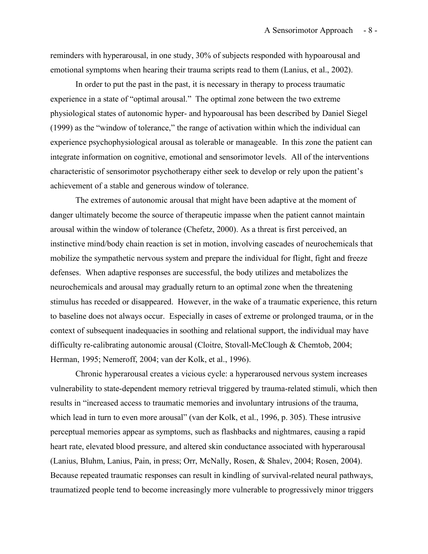reminders with hyperarousal, in one study, 30% of subjects responded with hypoarousal and emotional symptoms when hearing their trauma scripts read to them (Lanius, et al., 2002).

In order to put the past in the past, it is necessary in therapy to process traumatic experience in a state of "optimal arousal." The optimal zone between the two extreme physiological states of autonomic hyper- and hypoarousal has been described by Daniel Siegel (1999) as the "window of tolerance," the range of activation within which the individual can experience psychophysiological arousal as tolerable or manageable. In this zone the patient can integrate information on cognitive, emotional and sensorimotor levels. All of the interventions characteristic of sensorimotor psychotherapy either seek to develop or rely upon the patient's achievement of a stable and generous window of tolerance.

The extremes of autonomic arousal that might have been adaptive at the moment of danger ultimately become the source of therapeutic impasse when the patient cannot maintain arousal within the window of tolerance (Chefetz, 2000). As a threat is first perceived, an instinctive mind/body chain reaction is set in motion, involving cascades of neurochemicals that mobilize the sympathetic nervous system and prepare the individual for flight, fight and freeze defenses. When adaptive responses are successful, the body utilizes and metabolizes the neurochemicals and arousal may gradually return to an optimal zone when the threatening stimulus has receded or disappeared. However, in the wake of a traumatic experience, this return to baseline does not always occur. Especially in cases of extreme or prolonged trauma, or in the context of subsequent inadequacies in soothing and relational support, the individual may have difficulty re-calibrating autonomic arousal (Cloitre, Stovall-McClough & Chemtob, 2004; Herman, 1995; Nemeroff, 2004; van der Kolk, et al., 1996).

Chronic hyperarousal creates a vicious cycle: a hyperaroused nervous system increases vulnerability to state-dependent memory retrieval triggered by trauma-related stimuli, which then results in "increased access to traumatic memories and involuntary intrusions of the trauma, which lead in turn to even more arousal" (van der Kolk, et al., 1996, p. 305). These intrusive perceptual memories appear as symptoms, such as flashbacks and nightmares, causing a rapid heart rate, elevated blood pressure, and altered skin conductance associated with hyperarousal (Lanius, Bluhm, Lanius, Pain, in press; Orr, McNally, Rosen, & Shalev, 2004; Rosen, 2004). Because repeated traumatic responses can result in kindling of survival-related neural pathways, traumatized people tend to become increasingly more vulnerable to progressively minor triggers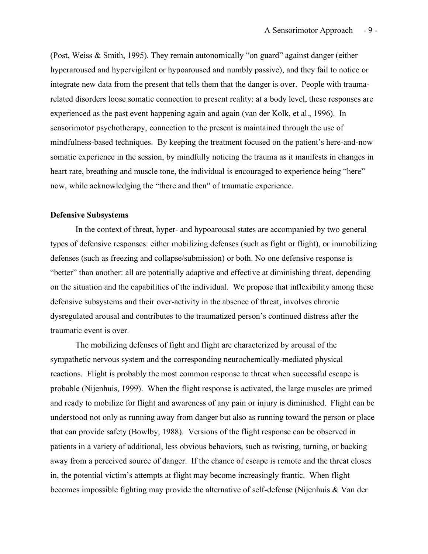(Post, Weiss & Smith, 1995). They remain autonomically "on guard" against danger (either hyperaroused and hypervigilent or hypoaroused and numbly passive), and they fail to notice or integrate new data from the present that tells them that the danger is over. People with traumarelated disorders loose somatic connection to present reality: at a body level, these responses are experienced as the past event happening again and again (van der Kolk, et al., 1996). In sensorimotor psychotherapy, connection to the present is maintained through the use of mindfulness-based techniques. By keeping the treatment focused on the patient's here-and-now somatic experience in the session, by mindfully noticing the trauma as it manifests in changes in heart rate, breathing and muscle tone, the individual is encouraged to experience being "here" now, while acknowledging the "there and then" of traumatic experience.

#### **Defensive Subsystems**

In the context of threat, hyper- and hypoarousal states are accompanied by two general types of defensive responses: either mobilizing defenses (such as fight or flight), or immobilizing defenses (such as freezing and collapse/submission) or both. No one defensive response is "better" than another: all are potentially adaptive and effective at diminishing threat, depending on the situation and the capabilities of the individual. We propose that inflexibility among these defensive subsystems and their over-activity in the absence of threat, involves chronic dysregulated arousal and contributes to the traumatized person's continued distress after the traumatic event is over.

The mobilizing defenses of fight and flight are characterized by arousal of the sympathetic nervous system and the corresponding neurochemically-mediated physical reactions. Flight is probably the most common response to threat when successful escape is probable (Nijenhuis, 1999). When the flight response is activated, the large muscles are primed and ready to mobilize for flight and awareness of any pain or injury is diminished. Flight can be understood not only as running away from danger but also as running toward the person or place that can provide safety (Bowlby, 1988). Versions of the flight response can be observed in patients in a variety of additional, less obvious behaviors, such as twisting, turning, or backing away from a perceived source of danger. If the chance of escape is remote and the threat closes in, the potential victim's attempts at flight may become increasingly frantic. When flight becomes impossible fighting may provide the alternative of self-defense (Nijenhuis & Van der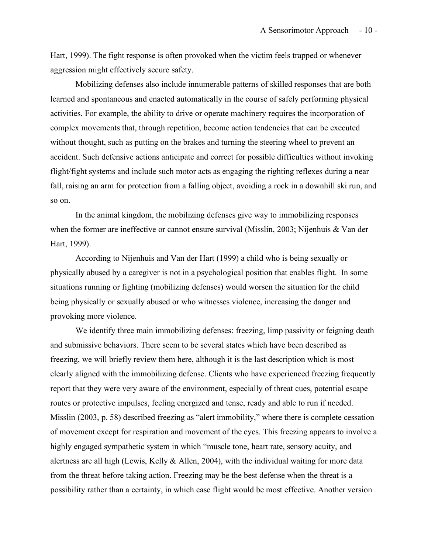Hart, 1999). The fight response is often provoked when the victim feels trapped or whenever aggression might effectively secure safety.

Mobilizing defenses also include innumerable patterns of skilled responses that are both learned and spontaneous and enacted automatically in the course of safely performing physical activities. For example, the ability to drive or operate machinery requires the incorporation of complex movements that, through repetition, become action tendencies that can be executed without thought, such as putting on the brakes and turning the steering wheel to prevent an accident. Such defensive actions anticipate and correct for possible difficulties without invoking flight/fight systems and include such motor acts as engaging the righting reflexes during a near fall, raising an arm for protection from a falling object, avoiding a rock in a downhill ski run, and so on.

In the animal kingdom, the mobilizing defenses give way to immobilizing responses when the former are ineffective or cannot ensure survival (Misslin, 2003; Nijenhuis & Van der Hart, 1999).

According to Nijenhuis and Van der Hart (1999) a child who is being sexually or physically abused by a caregiver is not in a psychological position that enables flight. In some situations running or fighting (mobilizing defenses) would worsen the situation for the child being physically or sexually abused or who witnesses violence, increasing the danger and provoking more violence.

We identify three main immobilizing defenses: freezing, limp passivity or feigning death and submissive behaviors. There seem to be several states which have been described as freezing, we will briefly review them here, although it is the last description which is most clearly aligned with the immobilizing defense. Clients who have experienced freezing frequently report that they were very aware of the environment, especially of threat cues, potential escape routes or protective impulses, feeling energized and tense, ready and able to run if needed. Misslin (2003, p. 58) described freezing as "alert immobility," where there is complete cessation of movement except for respiration and movement of the eyes. This freezing appears to involve a highly engaged sympathetic system in which "muscle tone, heart rate, sensory acuity, and alertness are all high (Lewis, Kelly & Allen, 2004), with the individual waiting for more data from the threat before taking action. Freezing may be the best defense when the threat is a possibility rather than a certainty, in which case flight would be most effective. Another version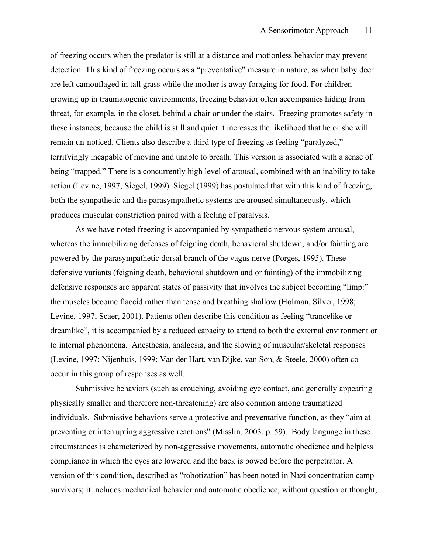of freezing occurs when the predator is still at a distance and motionless behavior may prevent detection. This kind of freezing occurs as a "preventative" measure in nature, as when baby deer are left camouflaged in tall grass while the mother is away foraging for food. For children growing up in traumatogenic environments, freezing behavior often accompanies hiding from threat, for example, in the closet, behind a chair or under the stairs. Freezing promotes safety in these instances, because the child is still and quiet it increases the likelihood that he or she will remain un-noticed. Clients also describe a third type of freezing as feeling "paralyzed," terrifyingly incapable of moving and unable to breath. This version is associated with a sense of being "trapped." There is a concurrently high level of arousal, combined with an inability to take action (Levine, 1997; Siegel, 1999). Siegel (1999) has postulated that with this kind of freezing, both the sympathetic and the parasympathetic systems are aroused simultaneously, which produces muscular constriction paired with a feeling of paralysis.

As we have noted freezing is accompanied by sympathetic nervous system arousal, whereas the immobilizing defenses of feigning death, behavioral shutdown, and/or fainting are powered by the parasympathetic dorsal branch of the vagus nerve (Porges, 1995). These defensive variants (feigning death, behavioral shutdown and or fainting) of the immobilizing defensive responses are apparent states of passivity that involves the subject becoming "limp:" the muscles become flaccid rather than tense and breathing shallow (Holman, Silver, 1998; Levine, 1997; Scaer, 2001). Patients often describe this condition as feeling "trancelike or dreamlike", it is accompanied by a reduced capacity to attend to both the external environment or to internal phenomena. Anesthesia, analgesia, and the slowing of muscular/skeletal responses (Levine, 1997; Nijenhuis, 1999; Van der Hart, van Dijke, van Son, & Steele, 2000) often cooccur in this group of responses as well.

Submissive behaviors (such as crouching, avoiding eye contact, and generally appearing physically smaller and therefore non-threatening) are also common among traumatized individuals. Submissive behaviors serve a protective and preventative function, as they "aim at preventing or interrupting aggressive reactions" (Misslin, 2003, p. 59). Body language in these circumstances is characterized by non-aggressive movements, automatic obedience and helpless compliance in which the eyes are lowered and the back is bowed before the perpetrator. A version of this condition, described as "robotization" has been noted in Nazi concentration camp survivors; it includes mechanical behavior and automatic obedience, without question or thought,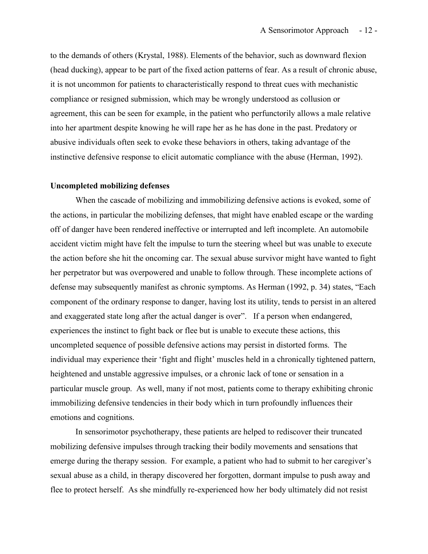to the demands of others (Krystal, 1988). Elements of the behavior, such as downward flexion (head ducking), appear to be part of the fixed action patterns of fear. As a result of chronic abuse, it is not uncommon for patients to characteristically respond to threat cues with mechanistic compliance or resigned submission, which may be wrongly understood as collusion or agreement, this can be seen for example, in the patient who perfunctorily allows a male relative into her apartment despite knowing he will rape her as he has done in the past. Predatory or abusive individuals often seek to evoke these behaviors in others, taking advantage of the instinctive defensive response to elicit automatic compliance with the abuse (Herman, 1992).

#### **Uncompleted mobilizing defenses**

When the cascade of mobilizing and immobilizing defensive actions is evoked, some of the actions, in particular the mobilizing defenses, that might have enabled escape or the warding off of danger have been rendered ineffective or interrupted and left incomplete. An automobile accident victim might have felt the impulse to turn the steering wheel but was unable to execute the action before she hit the oncoming car. The sexual abuse survivor might have wanted to fight her perpetrator but was overpowered and unable to follow through. These incomplete actions of defense may subsequently manifest as chronic symptoms. As Herman (1992, p. 34) states, "Each component of the ordinary response to danger, having lost its utility, tends to persist in an altered and exaggerated state long after the actual danger is over". If a person when endangered, experiences the instinct to fight back or flee but is unable to execute these actions, this uncompleted sequence of possible defensive actions may persist in distorted forms. The individual may experience their 'fight and flight' muscles held in a chronically tightened pattern, heightened and unstable aggressive impulses, or a chronic lack of tone or sensation in a particular muscle group. As well, many if not most, patients come to therapy exhibiting chronic immobilizing defensive tendencies in their body which in turn profoundly influences their emotions and cognitions.

In sensorimotor psychotherapy, these patients are helped to rediscover their truncated mobilizing defensive impulses through tracking their bodily movements and sensations that emerge during the therapy session. For example, a patient who had to submit to her caregiver's sexual abuse as a child, in therapy discovered her forgotten, dormant impulse to push away and flee to protect herself. As she mindfully re-experienced how her body ultimately did not resist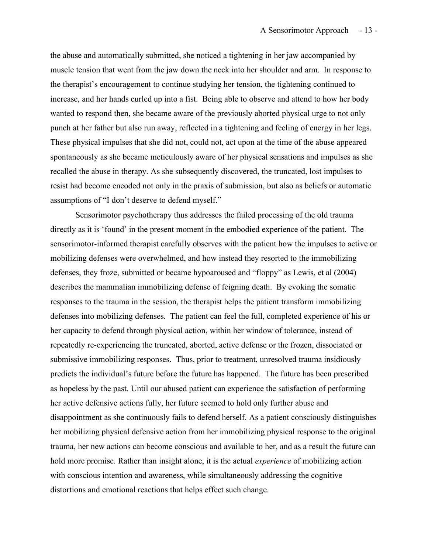the abuse and automatically submitted, she noticed a tightening in her jaw accompanied by muscle tension that went from the jaw down the neck into her shoulder and arm. In response to the therapist's encouragement to continue studying her tension, the tightening continued to increase, and her hands curled up into a fist. Being able to observe and attend to how her body wanted to respond then, she became aware of the previously aborted physical urge to not only punch at her father but also run away, reflected in a tightening and feeling of energy in her legs. These physical impulses that she did not, could not, act upon at the time of the abuse appeared spontaneously as she became meticulously aware of her physical sensations and impulses as she recalled the abuse in therapy. As she subsequently discovered, the truncated, lost impulses to resist had become encoded not only in the praxis of submission, but also as beliefs or automatic assumptions of "I don't deserve to defend myself."

Sensorimotor psychotherapy thus addresses the failed processing of the old trauma directly as it is 'found' in the present moment in the embodied experience of the patient. The sensorimotor-informed therapist carefully observes with the patient how the impulses to active or mobilizing defenses were overwhelmed, and how instead they resorted to the immobilizing defenses, they froze, submitted or became hypoaroused and "floppy" as Lewis, et al (2004) describes the mammalian immobilizing defense of feigning death. By evoking the somatic responses to the trauma in the session, the therapist helps the patient transform immobilizing defenses into mobilizing defenses. The patient can feel the full, completed experience of his or her capacity to defend through physical action, within her window of tolerance, instead of repeatedly re-experiencing the truncated, aborted, active defense or the frozen, dissociated or submissive immobilizing responses. Thus, prior to treatment, unresolved trauma insidiously predicts the individual's future before the future has happened. The future has been prescribed as hopeless by the past. Until our abused patient can experience the satisfaction of performing her active defensive actions fully, her future seemed to hold only further abuse and disappointment as she continuously fails to defend herself. As a patient consciously distinguishes her mobilizing physical defensive action from her immobilizing physical response to the original trauma, her new actions can become conscious and available to her, and as a result the future can hold more promise. Rather than insight alone, it is the actual *experience* of mobilizing action with conscious intention and awareness, while simultaneously addressing the cognitive distortions and emotional reactions that helps effect such change.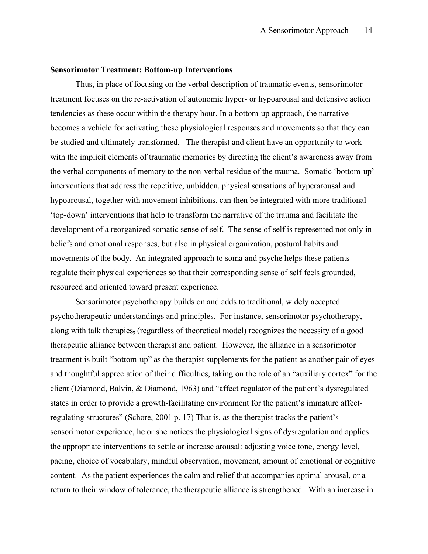#### **Sensorimotor Treatment: Bottom-up Interventions**

Thus, in place of focusing on the verbal description of traumatic events, sensorimotor treatment focuses on the re-activation of autonomic hyper- or hypoarousal and defensive action tendencies as these occur within the therapy hour. In a bottom-up approach, the narrative becomes a vehicle for activating these physiological responses and movements so that they can be studied and ultimately transformed. The therapist and client have an opportunity to work with the implicit elements of traumatic memories by directing the client's awareness away from the verbal components of memory to the non-verbal residue of the trauma. Somatic 'bottom-up' interventions that address the repetitive, unbidden, physical sensations of hyperarousal and hypoarousal, together with movement inhibitions, can then be integrated with more traditional 'top-down' interventions that help to transform the narrative of the trauma and facilitate the development of a reorganized somatic sense of self. The sense of self is represented not only in beliefs and emotional responses, but also in physical organization, postural habits and movements of the body. An integrated approach to soma and psyche helps these patients regulate their physical experiences so that their corresponding sense of self feels grounded, resourced and oriented toward present experience.

Sensorimotor psychotherapy builds on and adds to traditional, widely accepted psychotherapeutic understandings and principles. For instance, sensorimotor psychotherapy, along with talk therapies, (regardless of theoretical model) recognizes the necessity of a good therapeutic alliance between therapist and patient. However, the alliance in a sensorimotor treatment is built "bottom-up" as the therapist supplements for the patient as another pair of eyes and thoughtful appreciation of their difficulties, taking on the role of an "auxiliary cortex" for the client (Diamond, Balvin, & Diamond, 1963) and "affect regulator of the patient's dysregulated states in order to provide a growth-facilitating environment for the patient's immature affectregulating structures" (Schore, 2001 p. 17) That is, as the therapist tracks the patient's sensorimotor experience, he or she notices the physiological signs of dysregulation and applies the appropriate interventions to settle or increase arousal: adjusting voice tone, energy level, pacing, choice of vocabulary, mindful observation, movement, amount of emotional or cognitive content. As the patient experiences the calm and relief that accompanies optimal arousal, or a return to their window of tolerance, the therapeutic alliance is strengthened. With an increase in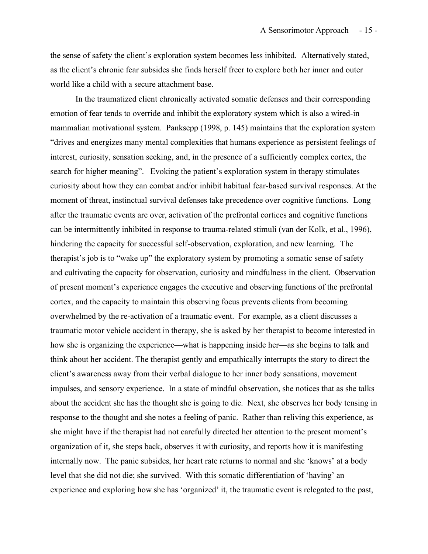the sense of safety the client's exploration system becomes less inhibited. Alternatively stated, as the client's chronic fear subsides she finds herself freer to explore both her inner and outer world like a child with a secure attachment base.

In the traumatized client chronically activated somatic defenses and their corresponding emotion of fear tends to override and inhibit the exploratory system which is also a wired-in mammalian motivational system. Panksepp (1998, p. 145) maintains that the exploration system "drives and energizes many mental complexities that humans experience as persistent feelings of interest, curiosity, sensation seeking, and, in the presence of a sufficiently complex cortex, the search for higher meaning". Evoking the patient's exploration system in therapy stimulates curiosity about how they can combat and/or inhibit habitual fear-based survival responses. At the moment of threat, instinctual survival defenses take precedence over cognitive functions. Long after the traumatic events are over, activation of the prefrontal cortices and cognitive functions can be intermittently inhibited in response to trauma-related stimuli (van der Kolk, et al., 1996), hindering the capacity for successful self-observation, exploration, and new learning. The therapist's job is to "wake up" the exploratory system by promoting a somatic sense of safety and cultivating the capacity for observation, curiosity and mindfulness in the client. Observation of present moment's experience engages the executive and observing functions of the prefrontal cortex, and the capacity to maintain this observing focus prevents clients from becoming overwhelmed by the re-activation of a traumatic event. For example, as a client discusses a traumatic motor vehicle accident in therapy, she is asked by her therapist to become interested in how she is organizing the experience—what is-happening inside her—as she begins to talk and think about her accident. The therapist gently and empathically interrupts the story to direct the client's awareness away from their verbal dialogue to her inner body sensations, movement impulses, and sensory experience. In a state of mindful observation, she notices that as she talks about the accident she has the thought she is going to die. Next, she observes her body tensing in response to the thought and she notes a feeling of panic. Rather than reliving this experience, as she might have if the therapist had not carefully directed her attention to the present moment's organization of it, she steps back, observes it with curiosity, and reports how it is manifesting internally now. The panic subsides, her heart rate returns to normal and she 'knows' at a body level that she did not die; she survived. With this somatic differentiation of 'having' an experience and exploring how she has 'organized' it, the traumatic event is relegated to the past,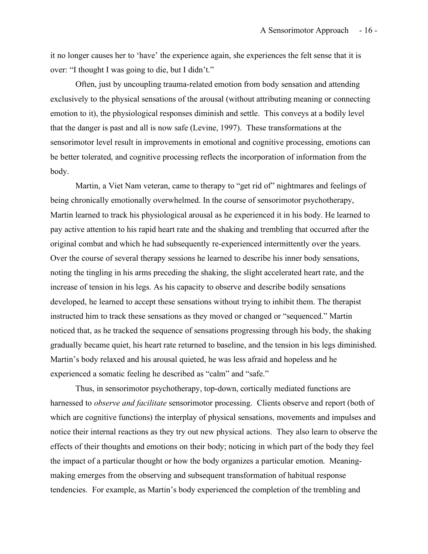it no longer causes her to 'have' the experience again, she experiences the felt sense that it is over: "I thought I was going to die, but I didn't."

Often, just by uncoupling trauma-related emotion from body sensation and attending exclusively to the physical sensations of the arousal (without attributing meaning or connecting emotion to it), the physiological responses diminish and settle. This conveys at a bodily level that the danger is past and all is now safe (Levine, 1997). These transformations at the sensorimotor level result in improvements in emotional and cognitive processing, emotions can be better tolerated, and cognitive processing reflects the incorporation of information from the body.

Martin, a Viet Nam veteran, came to therapy to "get rid of" nightmares and feelings of being chronically emotionally overwhelmed. In the course of sensorimotor psychotherapy, Martin learned to track his physiological arousal as he experienced it in his body. He learned to pay active attention to his rapid heart rate and the shaking and trembling that occurred after the original combat and which he had subsequently re-experienced intermittently over the years. Over the course of several therapy sessions he learned to describe his inner body sensations, noting the tingling in his arms preceding the shaking, the slight accelerated heart rate, and the increase of tension in his legs. As his capacity to observe and describe bodily sensations developed, he learned to accept these sensations without trying to inhibit them. The therapist instructed him to track these sensations as they moved or changed or "sequenced." Martin noticed that, as he tracked the sequence of sensations progressing through his body, the shaking gradually became quiet, his heart rate returned to baseline, and the tension in his legs diminished. Martin's body relaxed and his arousal quieted, he was less afraid and hopeless and he experienced a somatic feeling he described as "calm" and "safe."

Thus, in sensorimotor psychotherapy, top-down, cortically mediated functions are harnessed to *observe and facilitate* sensorimotor processing. Clients observe and report (both of which are cognitive functions) the interplay of physical sensations, movements and impulses and notice their internal reactions as they try out new physical actions. They also learn to observe the effects of their thoughts and emotions on their body; noticing in which part of the body they feel the impact of a particular thought or how the body organizes a particular emotion. Meaningmaking emerges from the observing and subsequent transformation of habitual response tendencies. For example, as Martin's body experienced the completion of the trembling and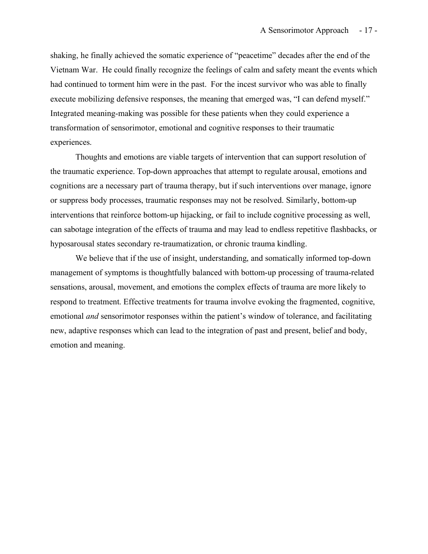shaking, he finally achieved the somatic experience of "peacetime" decades after the end of the Vietnam War. He could finally recognize the feelings of calm and safety meant the events which had continued to torment him were in the past. For the incest survivor who was able to finally execute mobilizing defensive responses, the meaning that emerged was, "I can defend myself." Integrated meaning-making was possible for these patients when they could experience a transformation of sensorimotor, emotional and cognitive responses to their traumatic experiences.

Thoughts and emotions are viable targets of intervention that can support resolution of the traumatic experience. Top-down approaches that attempt to regulate arousal, emotions and cognitions are a necessary part of trauma therapy, but if such interventions over manage, ignore or suppress body processes, traumatic responses may not be resolved. Similarly, bottom-up interventions that reinforce bottom-up hijacking, or fail to include cognitive processing as well, can sabotage integration of the effects of trauma and may lead to endless repetitive flashbacks, or hyposarousal states secondary re-traumatization, or chronic trauma kindling.

We believe that if the use of insight, understanding, and somatically informed top-down management of symptoms is thoughtfully balanced with bottom-up processing of trauma-related sensations, arousal, movement, and emotions the complex effects of trauma are more likely to respond to treatment. Effective treatments for trauma involve evoking the fragmented, cognitive, emotional *and* sensorimotor responses within the patient's window of tolerance, and facilitating new, adaptive responses which can lead to the integration of past and present, belief and body, emotion and meaning.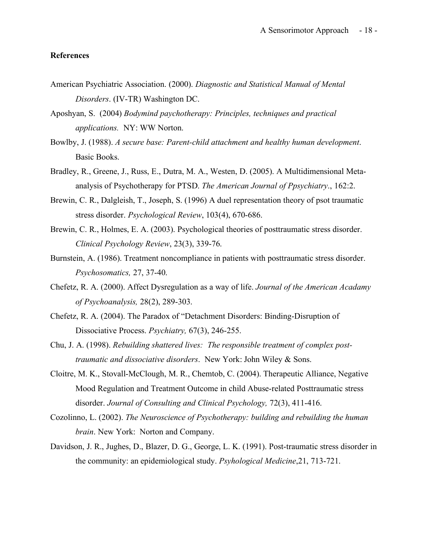#### **References**

- American Psychiatric Association. (2000). *Diagnostic and Statistical Manual of Mental Disorders*. (IV-TR) Washington DC.
- Aposhyan, S. (2004) *Bodymind paychotherapy: Principles, techniques and practical applications.* NY: WW Norton.
- Bowlby, J. (1988). *A secure base: Parent-child attachment and healthy human development*. Basic Books.
- Bradley, R., Greene, J., Russ, E., Dutra, M. A., Westen, D. (2005). A Multidimensional Metaanalysis of Psychotherapy for PTSD. *The American Journal of Ppsychiatry*., 162:2.
- Brewin, C. R., Dalgleish, T., Joseph, S. (1996) A duel representation theory of psot traumatic stress disorder. *Psychological Review*, 103(4), 670-686.
- Brewin, C. R., Holmes, E. A. (2003). Psychological theories of posttraumatic stress disorder. *Clinical Psychology Review*, 23(3), 339-76.
- Burnstein, A. (1986). Treatment noncompliance in patients with posttraumatic stress disorder. *Psychosomatics,* 27, 37-40.
- Chefetz, R. A. (2000). Affect Dysregulation as a way of life. *Journal of the American Acadamy of Psychoanalysis,* 28(2), 289-303.
- Chefetz, R. A. (2004). The Paradox of "Detachment Disorders: Binding-Disruption of Dissociative Process. *Psychiatry,* 67(3), 246-255.
- Chu, J. A. (1998). *Rebuilding shattered lives: The responsible treatment of complex posttraumatic and dissociative disorders*. New York: John Wiley & Sons.
- Cloitre, M. K., Stovall-McClough, M. R., Chemtob, C. (2004). Therapeutic Alliance, Negative Mood Regulation and Treatment Outcome in child Abuse-related Posttraumatic stress disorder. *Journal of Consulting and Clinical Psychology,* 72(3), 411-416.
- Cozolinno, L. (2002). *The Neuroscience of Psychotherapy: building and rebuilding the human brain*. New York: Norton and Company.
- Davidson, J. R., Jughes, D., Blazer, D. G., George, L. K. (1991). Post-traumatic stress disorder in the community: an epidemiological study. *Psyhological Medicine*,21, 713-721.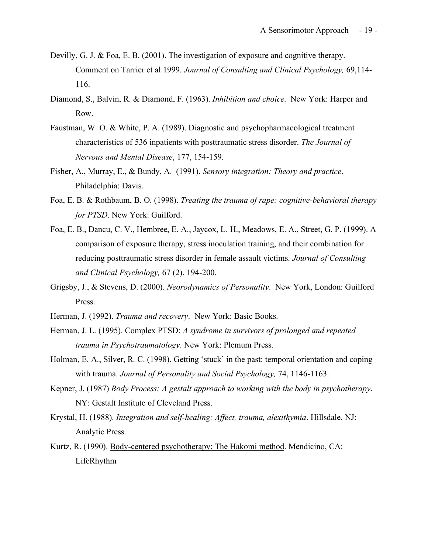- Devilly, G. J. & Foa, E. B. (2001). The investigation of exposure and cognitive therapy. Comment on Tarrier et al 1999. *Journal of Consulting and Clinical Psychology,* 69,114- 116.
- Diamond, S., Balvin, R. & Diamond, F. (1963). *Inhibition and choice*. New York: Harper and Row.
- Faustman, W. O. & White, P. A. (1989). Diagnostic and psychopharmacological treatment characteristics of 536 inpatients with posttraumatic stress disorder. *The Journal of Nervous and Mental Disease*, 177, 154-159.
- Fisher, A., Murray, E., & Bundy, A. (1991). *Sensory integration: Theory and practice*. Philadelphia: Davis.
- Foa, E. B. & Rothbaum, B. O. (1998). *Treating the trauma of rape: cognitive-behavioral therapy for PTSD*. New York: Guilford.
- Foa, E. B., Dancu, C. V., Hembree, E. A., Jaycox, L. H., Meadows, E. A., Street, G. P. (1999). A comparison of exposure therapy, stress inoculation training, and their combination for reducing posttraumatic stress disorder in female assault victims. *Journal of Consulting and Clinical Psychology,* 67 (2), 194-200.
- Grigsby, J., & Stevens, D. (2000). *Neorodynamics of Personality*. New York, London: Guilford Press.
- Herman, J. (1992). *Trauma and recovery*. New York: Basic Books.
- Herman, J. L. (1995). Complex PTSD: *A syndrome in survivors of prolonged and repeated trauma in Psychotraumatology*. New York: Plemum Press.
- Holman, E. A., Silver, R. C. (1998). Getting 'stuck' in the past: temporal orientation and coping with trauma. *Journal of Personality and Social Psychology,* 74, 1146-1163.
- Kepner, J. (1987) *Body Process: A gestalt approach to working with the body in psychotherapy*. NY: Gestalt Institute of Cleveland Press.
- Krystal, H. (1988). *Integration and self-healing: Affect, trauma, alexithymia*. Hillsdale, NJ: Analytic Press.
- Kurtz, R. (1990). Body-centered psychotherapy: The Hakomi method. Mendicino, CA: LifeRhythm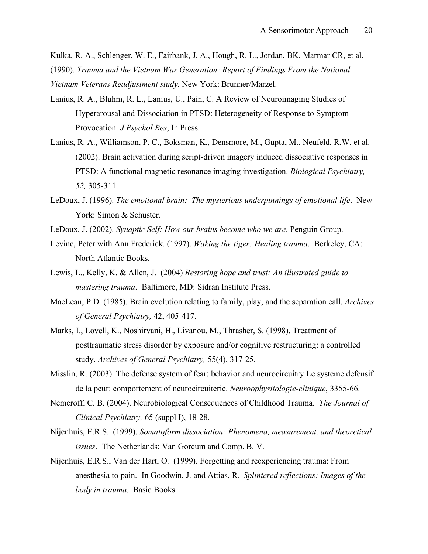Kulka, R. A., Schlenger, W. E., Fairbank, J. A., Hough, R. L., Jordan, BK, Marmar CR, et al. (1990). *Trauma and the Vietnam War Generation: Report of Findings From the National Vietnam Veterans Readjustment study.* New York: Brunner/Marzel.

- Lanius, R. A., Bluhm, R. L., Lanius, U., Pain, C. A Review of Neuroimaging Studies of Hyperarousal and Dissociation in PTSD: Heterogeneity of Response to Symptom Provocation. *J Psychol Res*, In Press.
- Lanius, R. A., Williamson, P. C., Boksman, K., Densmore, M., Gupta, M., Neufeld, R.W. et al. (2002). Brain activation during script-driven imagery induced dissociative responses in PTSD: A functional magnetic resonance imaging investigation. *Biological Psychiatry, 52,* 305-311.
- LeDoux, J. (1996). *The emotional brain: The mysterious underpinnings of emotional life*. New York: Simon & Schuster.
- LeDoux, J. (2002). *Synaptic Self: How our brains become who we are*. Penguin Group.
- Levine, Peter with Ann Frederick. (1997). *Waking the tiger: Healing trauma*. Berkeley, CA: North Atlantic Books.
- Lewis, L., Kelly, K. & Allen, J. (2004) *Restoring hope and trust: An illustrated guide to mastering trauma*. Baltimore, MD: Sidran Institute Press.
- MacLean, P.D. (1985). Brain evolution relating to family, play, and the separation call. *Archives of General Psychiatry,* 42, 405-417.
- Marks, I., Lovell, K., Noshirvani, H., Livanou, M., Thrasher, S. (1998). Treatment of posttraumatic stress disorder by exposure and/or cognitive restructuring: a controlled study. *Archives of General Psychiatry,* 55(4), 317-25.
- Misslin, R. (2003). The defense system of fear: behavior and neurocircuitry Le systeme defensif de la peur: comportement of neurocircuiterie. *Neuroophysiiologie-clinique*, 3355-66.
- Nemeroff, C. B. (2004). Neurobiological Consequences of Childhood Trauma. *The Journal of Clinical Psychiatry,* 65 (suppl I), 18-28.
- Nijenhuis, E.R.S. (1999). *Somatoform dissociation: Phenomena, measurement, and theoretical issues*. The Netherlands: Van Gorcum and Comp. B. V.
- Nijenhuis, E.R.S., Van der Hart, O. (1999). Forgetting and reexperiencing trauma: From anesthesia to pain. In Goodwin, J. and Attias, R. *Splintered reflections: Images of the body in trauma.* Basic Books.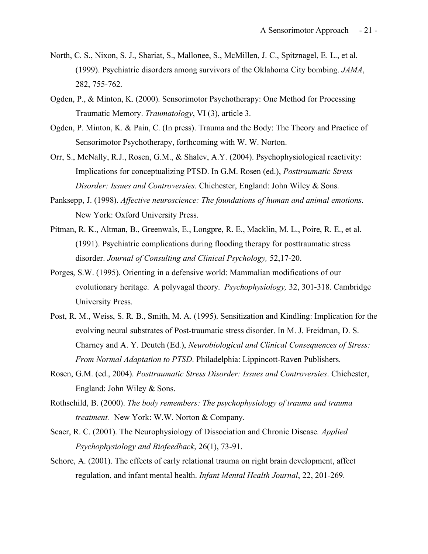- North, C. S., Nixon, S. J., Shariat, S., Mallonee, S., McMillen, J. C., Spitznagel, E. L., et al. (1999). Psychiatric disorders among survivors of the Oklahoma City bombing. *JAMA*, 282, 755-762.
- Ogden, P., & Minton, K. (2000). Sensorimotor Psychotherapy: One Method for Processing Traumatic Memory. *Traumatology*, VI (3), article 3.
- Ogden, P. Minton, K. & Pain, C. (In press). Trauma and the Body: The Theory and Practice of Sensorimotor Psychotherapy, forthcoming with W. W. Norton.
- Orr, S., McNally, R.J., Rosen, G.M., & Shalev, A.Y. (2004). Psychophysiological reactivity: Implications for conceptualizing PTSD. In G.M. Rosen (ed.), *Posttraumatic Stress Disorder: Issues and Controversies*. Chichester, England: John Wiley & Sons.
- Panksepp, J. (1998). *Affective neuroscience: The foundations of human and animal emotions*. New York: Oxford University Press.
- Pitman, R. K., Altman, B., Greenwals, E., Longpre, R. E., Macklin, M. L., Poire, R. E., et al. (1991). Psychiatric complications during flooding therapy for posttraumatic stress disorder. *Journal of Consulting and Clinical Psychology,* 52,17-20.
- Porges, S.W. (1995). Orienting in a defensive world: Mammalian modifications of our evolutionary heritage. A polyvagal theory. *Psychophysiology,* 32, 301-318. Cambridge University Press.
- Post, R. M., Weiss, S. R. B., Smith, M. A. (1995). Sensitization and Kindling: Implication for the evolving neural substrates of Post-traumatic stress disorder. In M. J. Freidman, D. S. Charney and A. Y. Deutch (Ed.), *Neurobiological and Clinical Consequences of Stress: From Normal Adaptation to PTSD*. Philadelphia: Lippincott-Raven Publishers.
- Rosen, G.M. (ed., 2004). *Posttraumatic Stress Disorder: Issues and Controversies*. Chichester, England: John Wiley & Sons.
- Rothschild, B. (2000). *The body remembers: The psychophysiology of trauma and trauma treatment.* New York: W.W. Norton & Company.
- Scaer, R. C. (2001). The Neurophysiology of Dissociation and Chronic Disease*. Applied Psychophysiology and Biofeedback*, 26(1), 73-91.
- Schore, A. (2001). The effects of early relational trauma on right brain development, affect regulation, and infant mental health. *Infant Mental Health Journal*, 22, 201-269.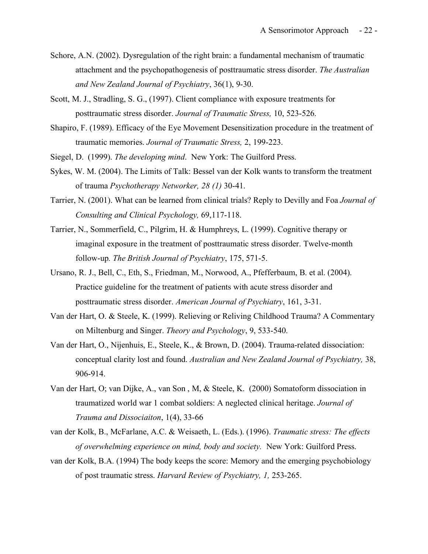- Schore, A.N. (2002). Dysregulation of the right brain: a fundamental mechanism of traumatic attachment and the psychopathogenesis of posttraumatic stress disorder. *The Australian and New Zealand Journal of Psychiatry*, 36(1), 9-30.
- Scott, M. J., Stradling, S. G., (1997). Client compliance with exposure treatments for posttraumatic stress disorder. *Journal of Traumatic Stress,* 10, 523-526.
- Shapiro, F. (1989). Efficacy of the Eye Movement Desensitization procedure in the treatment of traumatic memories. *Journal of Traumatic Stress,* 2, 199-223.
- Siegel, D. (1999). *The developing mind*. New York: The Guilford Press.
- Sykes, W. M. (2004). The Limits of Talk: Bessel van der Kolk wants to transform the treatment of trauma *Psychotherapy Networker, 28 (1)* 30-41.
- Tarrier, N. (2001). What can be learned from clinical trials? Reply to Devilly and Foa *Journal of Consulting and Clinical Psychology,* 69,117-118.
- Tarrier, N., Sommerfield, C., Pilgrim, H. & Humphreys, L. (1999). Cognitive therapy or imaginal exposure in the treatment of posttraumatic stress disorder. Twelve-month follow-up*. The British Journal of Psychiatry*, 175, 571-5.
- Ursano, R. J., Bell, C., Eth, S., Friedman, M., Norwood, A., Pfefferbaum, B. et al. (2004). Practice guideline for the treatment of patients with acute stress disorder and posttraumatic stress disorder. *American Journal of Psychiatry*, 161, 3-31.
- Van der Hart, O. & Steele, K. (1999). Relieving or Reliving Childhood Trauma? A Commentary on Miltenburg and Singer. *Theory and Psychology*, 9, 533-540.
- Van der Hart, O., Nijenhuis, E., Steele, K., & Brown, D. (2004). Trauma-related dissociation: conceptual clarity lost and found. *Australian and New Zealand Journal of Psychiatry,* 38, 906-914.
- Van der Hart, O; van Dijke, A., van Son , M, & Steele, K. (2000) Somatoform dissociation in traumatized world war 1 combat soldiers: A neglected clinical heritage. *Journal of Trauma and Dissociaiton*, 1(4), 33-66
- van der Kolk, B., McFarlane, A.C. & Weisaeth, L. (Eds.). (1996). *Traumatic stress: The effects of overwhelming experience on mind, body and society.* New York: Guilford Press.
- van der Kolk, B.A. (1994) The body keeps the score: Memory and the emerging psychobiology of post traumatic stress. *Harvard Review of Psychiatry, 1,* 253-265.